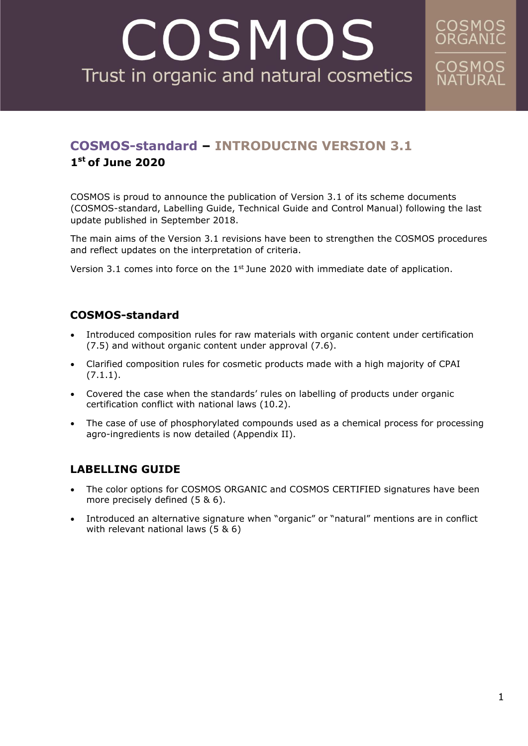# COSMOS Trust in organic and natural cosmetics

## **COSMOS-standard – INTRODUCING VERSION 3.1 1 st of June 2020**

COSMOS is proud to announce the publication of Version 3.1 of its scheme documents (COSMOS-standard, Labelling Guide, Technical Guide and Control Manual) following the last update published in September 2018.

The main aims of the Version 3.1 revisions have been to strengthen the COSMOS procedures and reflect updates on the interpretation of criteria.

Version 3.1 comes into force on the  $1<sup>st</sup>$  June 2020 with immediate date of application.

#### **COSMOS-standard**

- Introduced composition rules for raw materials with organic content under certification (7.5) and without organic content under approval (7.6).
- Clarified composition rules for cosmetic products made with a high majority of CPAI (7.1.1).
- Covered the case when the standards' rules on labelling of products under organic certification conflict with national laws (10.2).
- The case of use of phosphorylated compounds used as a chemical process for processing agro-ingredients is now detailed (Appendix II).

#### **LABELLING GUIDE**

- The color options for COSMOS ORGANIC and COSMOS CERTIFIED signatures have been more precisely defined (5 & 6).
- Introduced an alternative signature when "organic" or "natural" mentions are in conflict with relevant national laws (5 & 6)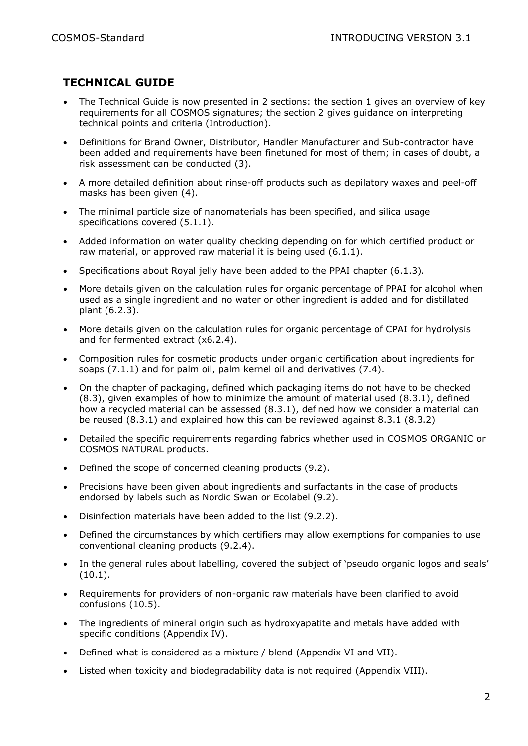### **TECHNICAL GUIDE**

- The Technical Guide is now presented in 2 sections: the section 1 gives an overview of key requirements for all COSMOS signatures; the section 2 gives guidance on interpreting technical points and criteria (Introduction).
- Definitions for Brand Owner, Distributor, Handler Manufacturer and Sub-contractor have been added and requirements have been finetuned for most of them; in cases of doubt, a risk assessment can be conducted (3).
- A more detailed definition about rinse-off products such as depilatory waxes and peel-off masks has been given (4).
- The minimal particle size of nanomaterials has been specified, and silica usage specifications covered (5.1.1).
- Added information on water quality checking depending on for which certified product or raw material, or approved raw material it is being used (6.1.1).
- Specifications about Royal jelly have been added to the PPAI chapter (6.1.3).
- More details given on the calculation rules for organic percentage of PPAI for alcohol when used as a single ingredient and no water or other ingredient is added and for distillated plant (6.2.3).
- More details given on the calculation rules for organic percentage of CPAI for hydrolysis and for fermented extract (x6.2.4).
- Composition rules for cosmetic products under organic certification about ingredients for soaps (7.1.1) and for palm oil, palm kernel oil and derivatives (7.4).
- On the chapter of packaging, defined which packaging items do not have to be checked  $(8.3)$ , given examples of how to minimize the amount of material used  $(8.3.1)$ , defined how a recycled material can be assessed (8.3.1), defined how we consider a material can be reused (8.3.1) and explained how this can be reviewed against 8.3.1 (8.3.2)
- Detailed the specific requirements regarding fabrics whether used in COSMOS ORGANIC or COSMOS NATURAL products.
- Defined the scope of concerned cleaning products (9.2).
- Precisions have been given about ingredients and surfactants in the case of products endorsed by labels such as Nordic Swan or Ecolabel (9.2).
- Disinfection materials have been added to the list (9.2.2).
- Defined the circumstances by which certifiers may allow exemptions for companies to use conventional cleaning products (9.2.4).
- In the general rules about labelling, covered the subject of 'pseudo organic logos and seals' (10.1).
- Requirements for providers of non-organic raw materials have been clarified to avoid confusions (10.5).
- The ingredients of mineral origin such as hydroxyapatite and metals have added with specific conditions (Appendix IV).
- Defined what is considered as a mixture / blend (Appendix VI and VII).
- Listed when toxicity and biodegradability data is not required (Appendix VIII).